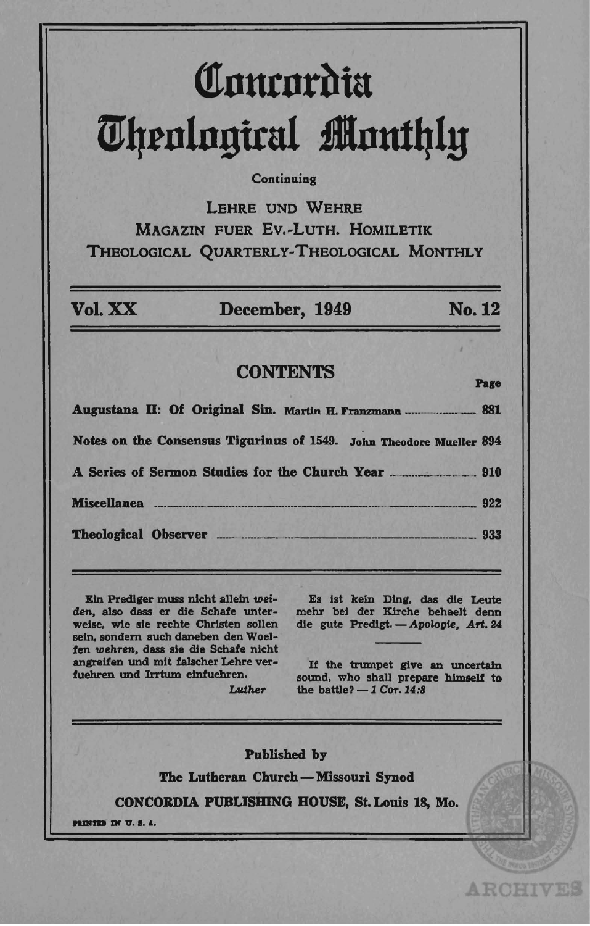# Comrordia m~tnln!1ital **ilnutqly**

#### **Continuing**

LEHRE UND WEHRE MAGAZIN FUER Ev.-LuTH. HOMILETIK THEOLOGICAL QUARTERLy-THEOLOGICAL MONTHLY

VoI.XX December, 1949 No. 12 **CONTENTS** Page Augustana II: Of Original Sin. Martin H. Franzmann .. \_\_\_ \_ \_\_\_\_\_\_\_\_\_ 881 Notes on the Consensus Tigurinus of 1549. John Theodore Mueller 894 A Series of Sermon Studies for the Church Year \_\_\_\_\_\_\_\_\_\_\_\_\_\_\_\_\_\_\_\_\_\_\_\_\_\_\_\_\_\_\_\_\_\_ Miscellanea \_\_\_ .\_ ... \_ .... \_\_ . \_\_ .... \_. \_\_\_\_ .... \_\_ . \_\_ .... \_.\_. \_\_\_\_ . \_\_\_ . \_\_\_ . ... \_\_ .\_ .. \_ .... \_\_\_ 922 Theological Observer ..... \_ ... \_ .. \_ .\_ .... \_ ... \_\_\_\_\_\_\_\_\_\_ . \_\_\_\_\_\_ . \_\_ .. \_.\_. \_\_ . 933

Ein Prediger muss nicht allein wei*den,* also dass er die Schate unterweise, wie sie rechte Christen sollen seln. sondem auch daneben den Woelfen wehren, dass sie die Schafe nicht angrelten und mit talscher Lehre vertoehren und Irrtum elntuehren.

Es 1st keln Ding. das die Leute mehr bel der Klrche behaeIt denn die gute Predigt. - Apologie, Art. 24

If the trumpet give an uncertain sound, who shall prepare himself to the battle?  $-1$  Cor. 14:8

**ARCHIVES** 

Published by The Lutheran Church - Missouri Synod

Luther

CONCORDIA PUBUSBING BOUSE, St. Louis 18, Mo.

PRINTED IN U.S.A.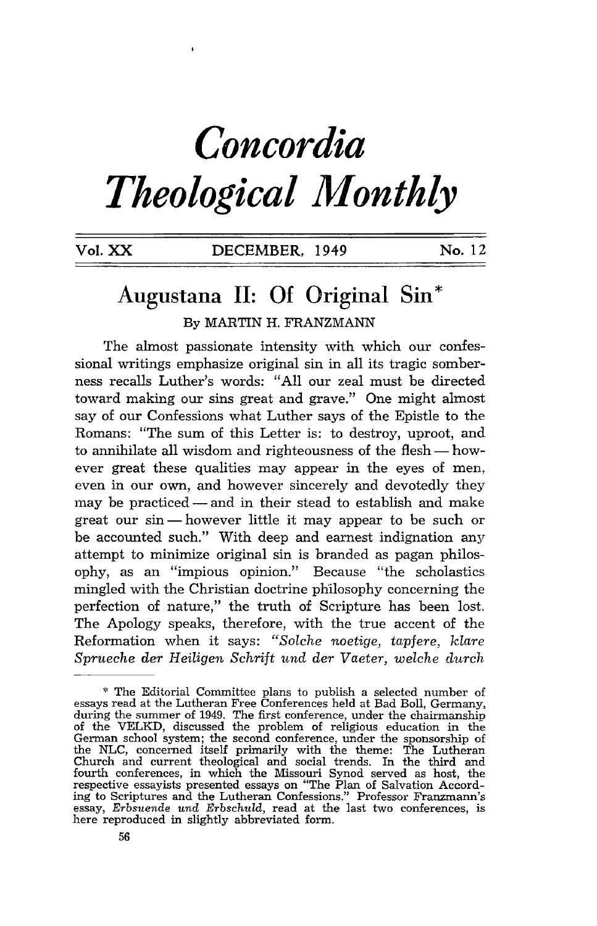## *Concordia Theological Monthly*

### DECEMBER, 1949 No. 12

### **Augustana II: Of Original Sin** \* By MARTIN H. FRANZMANN

The almost passionate intensity with which our confessional writings emphasize original sin in all its tragic somberness recalls Luther's words: "All our zeal must be directed toward making our sins great and grave." One might almost say of our Confessions what Luther says of the Epistle to the Romans: "The sum of this Letter is: to destroy, uproot, and to annihilate all wisdom and righteousness of the flesh - however great these qualities may appear in the eyes of men, even in our own, and however sincerely and devotedly they may be practiced - and in their stead to establish and make great our  $sin$ — however little it may appear to be such or be accounted such." With deep and earnest indignation any attempt to minimize original sin is branded as pagan philosophy, as an "impious opinion." Because "the scholastics mingled with the Christian doctrine philosophy concerning the perfection of nature," the truth of Scripture has been lost. The Apology speaks, therefore, with the true accent of the Reformation when it says: *"Solche noetige, tapfere, klare Sprueche der Heiligen Schrift und der Vaeter, welche durch* 

<sup>\*</sup> The Editorial Committee plans to publish a selected number of essays read at the Lutheran Free Conferences held at Bad Boll, Germany, during the summer of 1949. The first conference, under the chairmanship of the VELKD, discussed the problem of religious education in the German school system; the second conference, under the sponsorship of the NLC, concerned itself primarily with the theme: The Lutheran Church and current theological and social trends. In the third and fourth conferences, in which the Missouri Synod served as host, the respective essayists presented essays on '''The Plan of Salvation According to Scriptures and the Lutheran Confessions." Professor Franzmann's essay, *Erbsuende und Erbschuld,* read at the last two conferences, is here reproduced in slightly abbreviated form.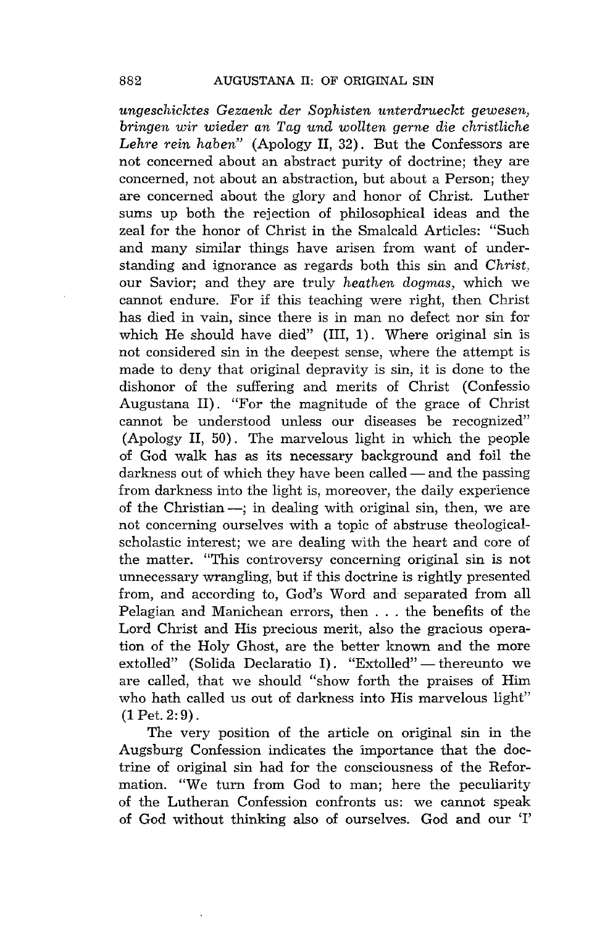*ungeschicktes Gezaenk der Sophisten unterdrueckt gewesen, bringen wir wieder an Tag und wollten gerne die christliche Lehre rein haben"* (Apology II, 32). But the Confessors are not concerned about an abstract purity of doctrine; they are concerned, not about an abstraction, but about a Person; they are concerned about the glory and honor of Christ. Luther sums up both the rejection of philosophical ideas and the zeal for the honor of Christ in the Smalcald Articles: "Such and many similar things have arisen from want of understanding and ignorance as regards both this sin and *Christ,*  our Savior; and they are truly *heathen dogmas,* which we cannot endure. For if this teaching were right, then Christ has died in vain, since there is in man no defect nor sin for which He should have died" (III, 1). Where original sin is not considered sin in the deepest sense, where the attempt is made to deny that original depravity is sin, it is done to the dishonor of the suffering and merits of Christ (Confessio Augustana II). "For the magnitude of the grace of Christ cannot be understood unless our diseases be recognized" (Apology II, 50). The marvelous light in which the people of God walk has as its necessary background and foil the darkness out of which they have been called — and the passing from darkness into the light is, moreover, the daily experience of the Christian -; in dealing with original sin, then, we are not concerning ourselves with a topic of abstruse theologicalscholastic interest; we are dealing with the heart and core of the matter. "This controversy concerning original sin is not unnecessary wrangling, but if this doctrine is rightly presented from, and according to, God's Word and separated from all Pelagian and Manichean errors, then . . . the benefits of the Lord Christ and His precious merit, also the gracious operation of the Holy Ghost, are the better known and the more extolled" (Solida Declaratio I). "Extolled" - thereunto we are called, that we should "show forth the praises of Him who hath called us out of darkness into His marvelous light"  $(1$  Pet.  $2:9$ ).

The very position of the article on original sin in the Augsburg Confession indicates the importance that the doctrine of original sin had for the consciousness of the Reformation. "We turn from God to man; here the peculiarity of the Lutheran Confession confronts us: we cannot speak of God without thinking also of ourselves. God and our'!'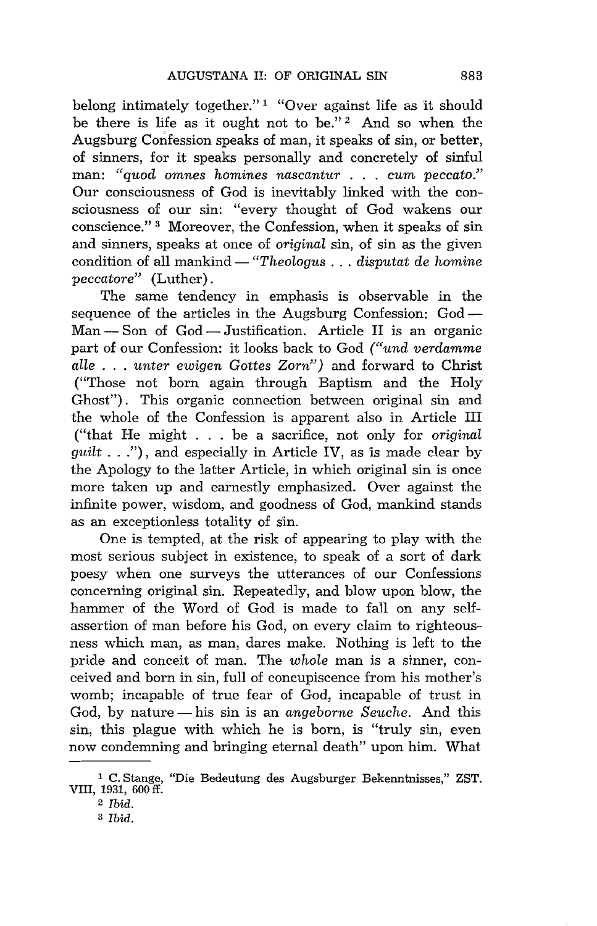belong intimately together."<sup>1</sup> "Over against life as it should be there is life as it ought not to be."<sup>2</sup> And so when the Augsburg Confession speaks of man, it speaks of sin, or better, of sinners, for it speaks personally and concretely of sinful man: *"quod omnes homines nascantur* ... *cum peccato."*  Our consciousness of God is inevitably linked with the consciousness of our sin: "every thought of God wakens our conscience." 3 Moreover, the Confession, when it speaks of sin and sinners, speaks at once of *original* sin, of sin as the given condition of all mankind — "Theologus . . . *disputat de homine peccatore"* (Luther).

The same tendency in emphasis is observable in the sequence of the articles in the Augsburg Confession: God-Man – Son of God – Justification. Article II is an organic part of our Confession: it looks back to God *("und verdamme aIle* . . . *unter ewigen Gottes Zorn")* and forward to Christ ("Those not born again through Baptism and the Holy Ghost"). This organic connection between original sin and the whole of the Confession is apparent also in Article III ("that He might . . . be a sacrifice, not only for *original guilt* ... "), and especially in Article IV, as is made clear by the Apology to the latter Article, in which original sin is once more taken up and earnestly emphasized. Over against the infinite power, wisdom, and goodness of God, mankind stands as an exceptionless totality of sin.

One is tempted, at the risk of appearing to play with the most serious subject in existence, to speak of a sort of dark poesy when one surveys the utterances of our Confessions concerning original sin. Repeatedly, and blow upon blow, the hammer of the Word of God is made to fall on any selfassertion of man before his God, on every claim to righteousness which man, as man, dares make. Nothing is left to the pride and conceit of man. The *whole* man is a sinner, conceived and born in sin, full of concupiscence from his mother's womb; incapable of true fear of God, incapable of trust in God, by nature — his sin is an *angeborne Seuche*. And this sin, this plague with which he is born, is "truly sin, even now condemning and bringing eternal death" upon him. What

<sup>1</sup> C. Stange, "Die Bedeutung des Augsburger Bekenntnisses," ZST. VIII, 1931, 600 fl.

<sup>2</sup>*Ibid.* 

S *Ibid.*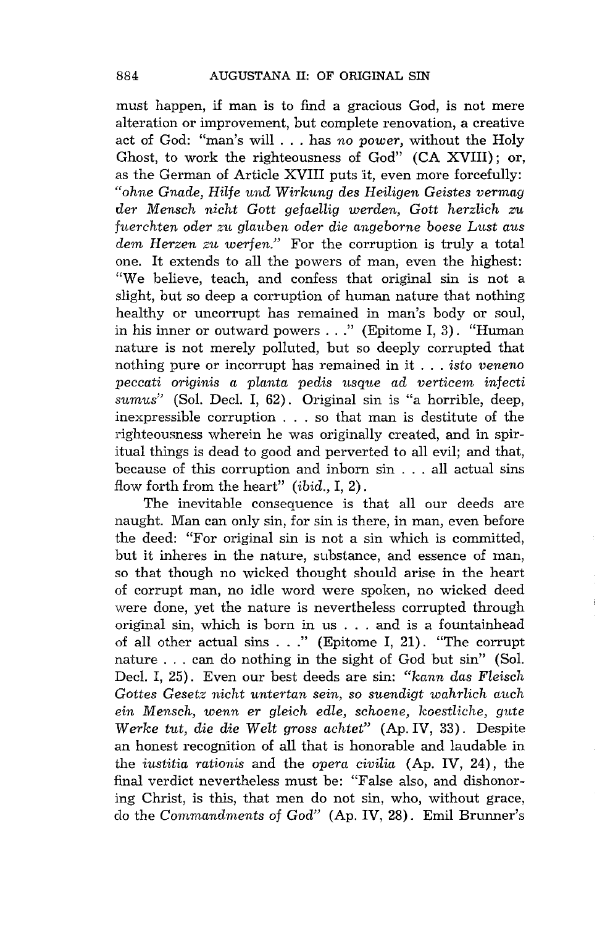must happen, if man is to find a gracious God, is not mere alteration or improvement, but complete renovation, a creative act of God: "man's will ... has *no power,* without the Holy Ghost, to work the righteousness of God" (CA XVIII); or, as the German of Article XVIII puts it, even more forcefully: *"ohne Gnade, Rilfe und Wirkung des Heiligen Geistes vermag der Mensch nicht Gott gefaeHig werden, Gatt herzlich zu fuerchten oder zu glauben oder die angeborne boese Lust aus dem Rerzen zu werfen."* For the corruption is truly a total one. It extends to all the powers of man, even the highest: "We believe, teach, and confess that original sin is not a slight, but so deep a corruption of human nature that nothing healthy or uncorrupt has remained in man's body or soul, in his inner or outward powers ... " (Epitome I, 3). "Human nature is not merely polluted, but so deeply corrupted that nothing pure or incorrupt has remained in it . . . *isto veneno peccati originis a planta pedis* usque *ad verticem infecti sumus"* (Sol. Decl. I, 62). Original sin is "a horrible, deep, inexpressible corruption . . . so that man is destitute of the righteousness wherein he was originally created, and in spiritual things is dead to good and perverted to all evil; and that, because of this corruption and inborn sin . . . all actual sins flow forth from the heart" *(ibid.,* I, 2).

The inevitable consequence is that all our deeds are naught. Man can only sin, for sin is there, in man, even before the deed: "For original sin is not a sin which is committed, but it inheres in the nature, substance, and essence of man, so that though no wicked thought should arise in the heart of corrupt man, no idle word were spoken, no wicked deed were done, yet the nature is nevertheless corrupted through original sin, which is born in us . . . and is a fountainhead of all other actual sins ... " (Epitome I, 21). "The corrupt nature ... can do nothing in the sight of God but sin" (Sol. Decl. I, 25). Even our best deeds are sin: *"kann das Fleisch Gottes Gesetz nicht untertan sein, so suendigt wahrlich auch*   $ein$  Mensch, wenn er gleich edle, schoene, koestliche, gute *Werke tut, die die Welt gross achtet"* (Ap. IV, 33). Despite an honest recognition of all that is honorable and laudable in the *iustitia rationis* and the *opera civilia* (Ap. IV, 24), the final verdict nevertheless must be: "False also, and dishonoring Christ, is this, that men do not sin, who, without grace, do the *Commandments* of *God"* (Ap. IV, 28). Emil Brunner's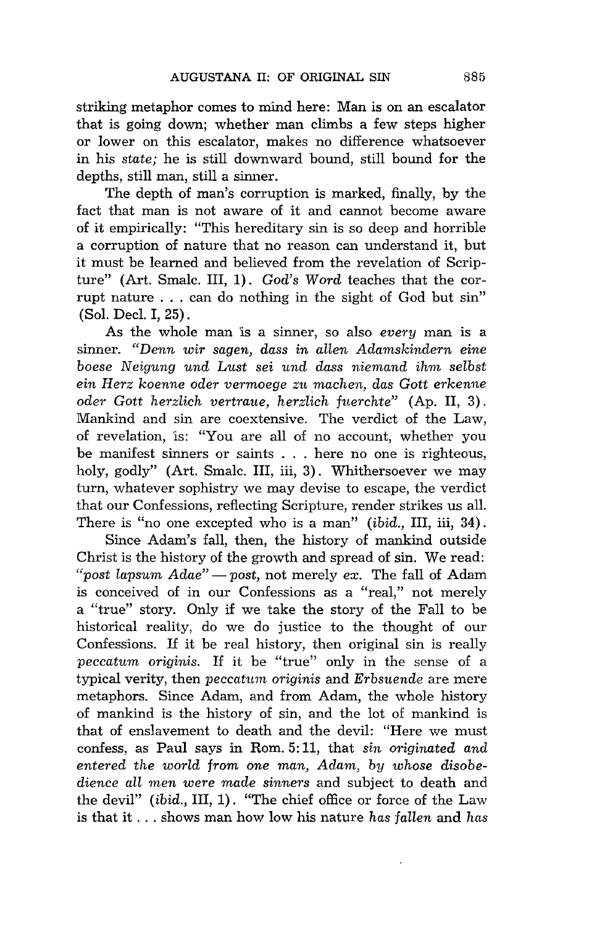striking metaphor comes to mind here: Man is on an escalator that is going down; whether man climbs a few steps higher or lower on this escalator, makes no difference whatsoever in his *state;* he is still downward bound, still bound for the depths, still man, still a sinner.

The depth of man's corruption is marked, finally, by the fact that man is not aware of it and cannot become aware of it empirically: "This hereditary sin is so deep and horrible a corruption of nature that no reason can understand it, but it must be learned and believed from the revelation of Scripture" (Art. Smalc. III, 1). *God's Word* teaches that the corrupt nature ... can do nothing in the sight of God but sin" (Sol. Decl. I, 25).

As the whole man is a sinner, so also *every* man is a sinner. *"Denn wir sagen, dass in allen Adamskindern eine boese* N *eigung und Lust sei und dass niemand ihm selbst ein Herz koenne oder vermoege zu machen, das Gott erkenne oder Gott herzlich vertraue, herzlich f'nerchte"* (Ap. II, 3). Mankind and sin are coextensive. The verdict of the Law, of revelation, is: "You are all of no account, whether you be manifest sinners or saints . . . here no one is righteous, holy, godly" (Art. Smalc. III, iii, 3). Whithersoever we may turn, whatever sophistry we may devise to escape, the verdict that our Confessions, reflecting Scripture, render strikes us all. There is "no one excepted who is a man" *(ibid.,* III, iii, 34).

Since Adam's fall, then, the history of mankind outside Christ is the history of the growth and spread of sin. We read: *"post lapsum Adae"* - *post,* not merely *ex.* The fall of Adam is conceived of in our Confessions as a "real," not merely a "true" story. Only if we take the story of the Fall to be historical reality, do we do justice to the thought of our Confessions. If it be real history, then original sin is really *peccatum originis.* If it be "true" only in the sense of a typical verity, then *peccatum originis* and *Erbsuende* are mere metaphors. Since Adam, and from Adam, the whole history of mankind is the history of sin, and the lot of mankind is that of enslavement to death and the devil: "Here we must confess, as Paul says in Rom. 5: 11, that *sin originated and entered the world from one man, Adam, by whose disobedience all men were made sinners* and subject to death and the devil" *(ibid.,* III, 1). "The chief office or force of the Law is that it ... shows man how low his nature *has fallen* and *has*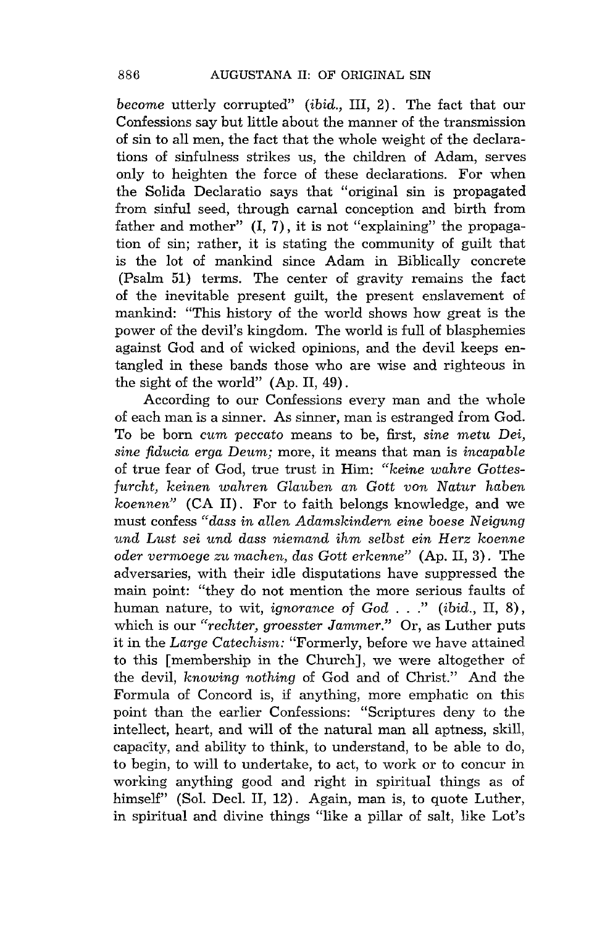*become* utterly corrupted" *(ibid.,* III, 2). The fact that our Confessions say but little about the manner of the transmission of sin to all men, the fact that the whole weight of the declarations of sinfulness strikes us, the children of Adam, serves only to heighten the force of these declarations. For when the Solida Declaratio says that "original sin is propagated from sinful seed, through carnal conception and birth from father and mother"  $(I, 7)$ , it is not "explaining" the propagation of sin; rather, it is stating the community of guilt that is the lot of mankind since Adam in Biblically concrete (Psalm 51) terms. The center of gravity remains the fact of the inevitable present guilt, the present enslavement of mankind: "This history of the world shows how great is the power of the devil's kingdom. The world is full of blasphemies against God and of wicked opinions, and the devil keeps entangled in these bands those who are wise and righteous in the sight of the world" (Ap. II, 49).

According to our Confessions every man and the whole of each man is a sinner. As sinner, man is estranged from God. To be born cum *peccato* means to be, first, *sine* metu *Dei, sine fiducia erga* Deum; more, it means that man is *incapable*  of true fear of God, true trust in Him: *"keine wahre Gottesfurcht, keinen wahren Glauben an Gatt von Natur haben koennen"* (CA **II).** For to faith belongs knowledge, and we must confess *"dass in allen Adamskindern eine boese Neigung und Lust sei und dass niemand ihm selbst ein Herz koenne oder vermoege zu machen, das Gatt erkenne"* (Ap. II, 3). The adversaries, with their idle disputations have suppressed the main point: "they do not mention the more serious faults of human nature, to wit, *ignorance* of *God .* .. " *(ibid.,* II, 8), which is our *"rechter, groesster Jammer."* Or, as Luther puts it in the *Large Catechism:* "Formerly, before we have attained to this [membership in the Church], we were altogether of the devil, *knowing nothing* of God and of Christ." And the Formula of Concord is, if anything, more emphatic on this point than the earlier Confessions: "Scriptures deny to the intellect, heart, and will of the natural man all aptness, skill, capacity, and ability to think, to understand, to be able to do, to begin, to will to undertake, to act, to work or to concur in working anything good and right in spiritual things as of himself" (Sol. Decl. II, 12). Again, man is, to quote Luther, in spiritual and divine things "like a pillar of salt, like Lot's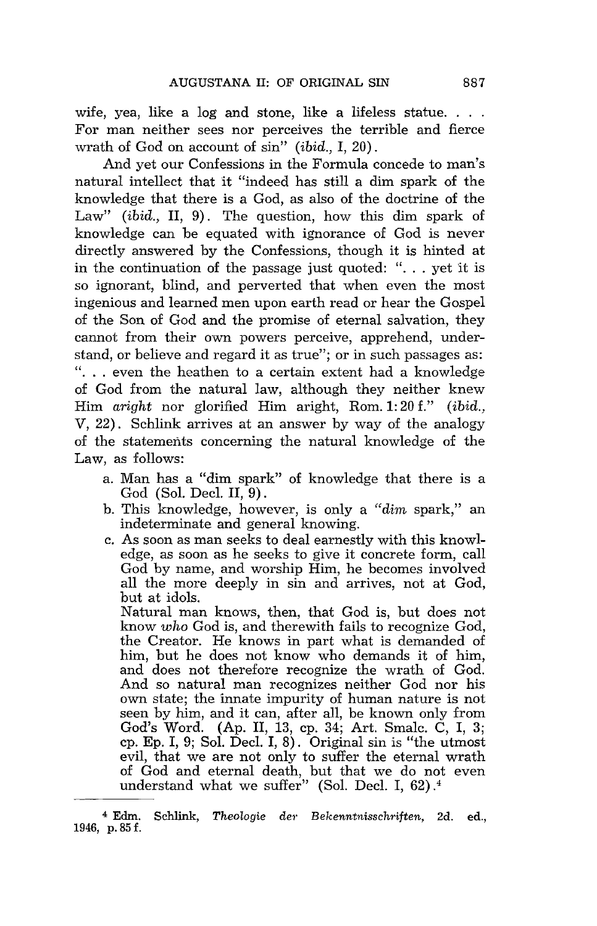wife, yea, like a log and stone, like a lifeless statue.  $\ldots$ For man neither sees nor perceives the terrible and fierce wrath of God on account of sin" *(ibid.,* I, 20).

And yet our Confessions in the Formula concede to man's natural intellect that 'it "indeed has still a dim spark of the knowledge that there is a God, as also of the doctrine of the Law" *(ibid.,* **II,** 9). The question, how this dim spark of knowledge can be equated with ignorance of God is never directly answered by the Confessions, though it is hinted at in the continuation of the passage just quoted: " $\dots$  yet it is so ignorant, blind, and perverted that when even the most ingenious and learned men upon earth read or hear the Gospel of the Son of God and the promise of eternal salvation, they cannot from their own powers perceive, apprehend, understand, or believe and regard it as true"; or in such passages as: "... even the heathen to a certain extent had a knowledge of God from the natural law, although they neither knew Him *aright* nor glorified Him aright, Rom. 1: 20 f." *(ibid.,*  V, 22). Schlink arrives at an answer by way of the analogy of the statements concerning the natural knowledge of the Law, as follows:

- a. Man has a "dim spark" of knowledge that there is a God (Sol. Decl. II, 9).
- b. This knowledge, however, is only a *"dim* spark," an indeterminate and general knowing.
- c. As soon as man seeks to deal earnestly with this knowledge, as soon as he seeks to give it concrete form, call God by name, and worship Him, he becomes involved all the more deeply in sin and arrives, not at God, but at idols.

Natural man knows, then, that God is, but does not know *who* God is, and therewith fails to recognize God, the Creator. He knows in part what is demanded of him, but he does not know who demands it of him, and does not therefore recognize the wrath of God. And so natural man recognizes neither God nor his own state; the innate impurity of human nature is not seen by him, and it can, after all, be known only from God's Word. (Ap. II, 13, cp. 34; Art. Smalc. C, I, 3; cp. Ep. I, 9; Sol. Decl. I, 8). Original sin is "the utmost evil, that we are not only to suffer the eternal wrath of God and eternal death, but that we do not even understand what we suffer" (Sol. Decl. I, 62).4

<sup>4</sup> Edm. Schlink, *Theologie der Bekenntnisschriften,* 2d. ed., 1946, p. 85 f.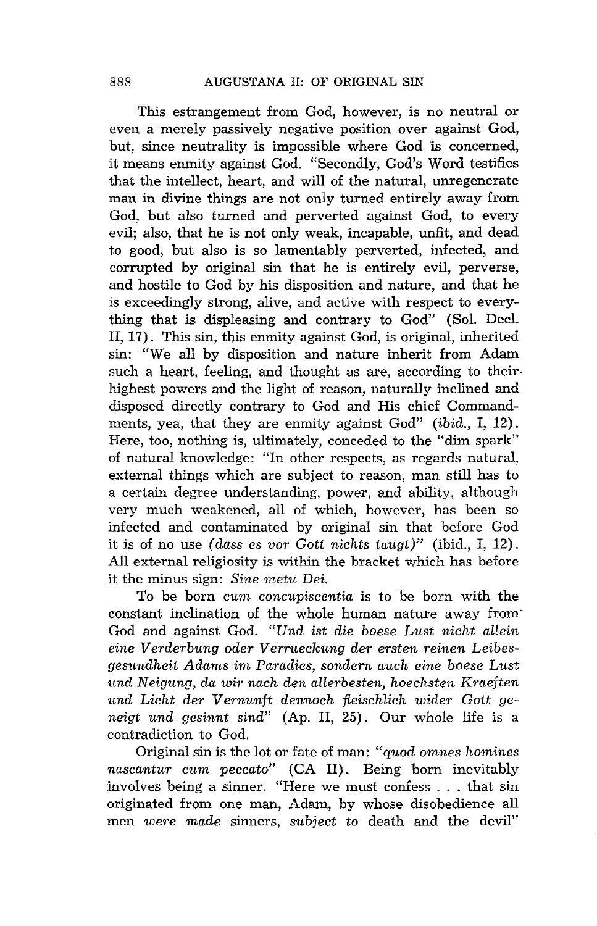This estrangement from God, however, *is* no neutral or even a merely passively negative position over against God, but, since neutrality is impossible where God is concerned, it means enmity against God. "Secondly, God's Word testifies that the intellect, heart, and will of the natural, unregenerate man in divine things are not only turned entirely away from God, but also turned and perverted against God, to every evil; also, that he is not only weak, 'incapable, unfit, and dead to good, but also is so lamentably perverted, infected, and corrupted by original sin that he is entirely evil, perverse, and hostile to God by his disposition and nature, and that he is exceedingly strong, alive, and active with respect to everything that is displeasing and contrary to God" (Sol. Decl. II, 17). This sin, this enmity against God, is original, inherited sin: "We all by disposition and nature inherit from Adam such a heart, feeling, and thought as are, according to their highest powers and the light of reason, naturally inclined and disposed directly contrary to God and His chief Commandments, yea, that they are enmity against God" *(ibid.,* I, 12). Here, too, nothing is, ultimately, conceded to the "dim spark" of natural knowledge: "In other respects, as regards natural, external things which are subject to reason, man still has to a certain degree understanding, power, and ability, although very much weakened, all of which, however, has been so infected and contaminated by original sin that before God it is of no use *(dass* es *vor Gatt nichts taugt)"* (ibid., I, 12). All external religiosity is within the bracket which has before it the minus sign: *Sine metn Dei.* 

To be born *cnm concnpiscentia* is to be born with the constant inclination of the whole human nature away from" God and against God. *"Und ist die boese Lust nicht allein eine Verderbnng oder Verrnecknng der ersten 1°einen Leibesgesnndheit Adams* im *Paradies, sondern anch eine boese Lust*  tmd *Neigung, da wir nach den allerbesten, hoechsten Kraeften*  und Licht der Vernunft dennoch fleischlich wider Gott ge*neigt nnd gesinnt sind"* (Ap. II, 25). Our whole life is a contradiction to God.

Original sin is the lot or fate of man: *"qnod omnes homines nascantnr cnm peccato"* (CA II). Being born inevitably involves being a sinner. "Here we must confess . . . that sin originated from one man, Adam, by whose disobedience all men *were made* sinners, *snbject* to death and the devil"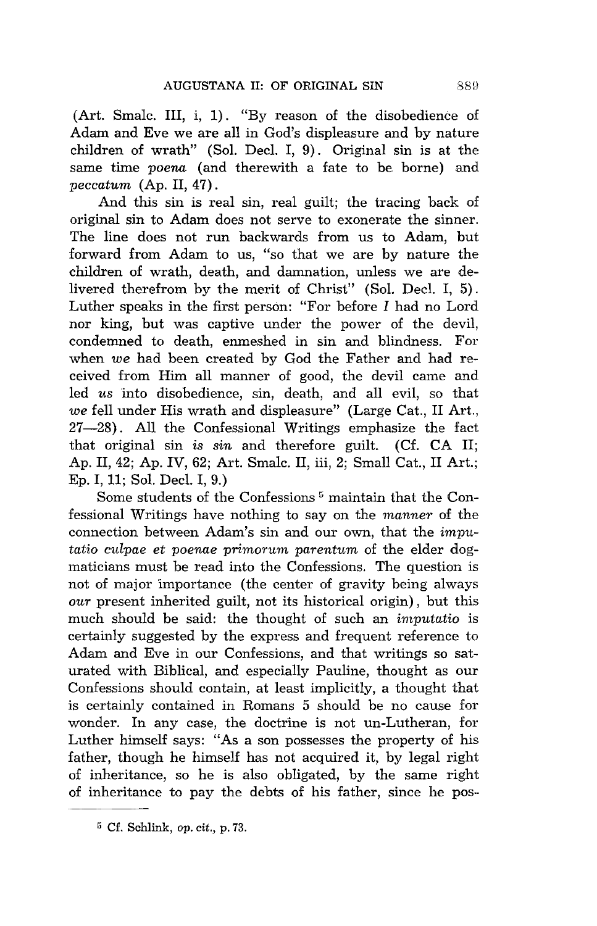(Art. Smale. III, i, 1). "By reason of the disobedience of Adam and Eve we are all in God's displeasure and by nature children of wrath" (Sol. Decl. I, 9). Original sin is at the same time *poena* (and therewith a fate to be borne) and *peccatum* (Ap. II, 47) .

And this sin is real sin, real guilt; the tracing back of original sin to Adam does not serve to exonerate the sinner. The line does not run backwards from us to Adam, but forward from Adam to us, "so that we are by nature the children of wrath, death, and damnation, unless we are delivered therefrom by the merit of Christ" (Sol. Decl. I, 5). Luther speaks in the first person: "For before I had no Lord nor king, but was captive under the power of the devil, condemned to death, enmeshed in sin and blindness. For when *we* had been created by God the Father and had received from Him all manner of good, the devil came and led *us* into disobedience, sin, death, and all evil, so that *we* fell under His wrath and displeasure" (Large Cat., II Art., 27-28). All the Confessional Writings emphasize the fact that original sin *is sin* and therefore guilt. (Cf. CA II; Ap. II, 42; Ap. IV, 62; Art. Smale. II, iii, 2; Small Cat., II Art.; Ep. I, 11; Sol. Decl. I, 9.)

Some students of the Confessions<sup>5</sup> maintain that the Confessional Writings have nothing to say on the *manner* of the connection between Adam's sin and our own, that the *imputatio culpae* et *poenae primorum parentum* of the elder dogmaticians must be read into the Confessions. The question is not of major 'importance (the center of gravity being always *our* present inherited guilt, not its historical origin), but this much should be said: the thought of such an *imputatio* is certainly suggested by the express and frequent reference to Adam and Eve in our Confessions, and that writings so saturated with Biblical, and especially Pauline, thought as our Confessions should contain, at least implicitly, a thought that is certainly contained in Romans 5 should be no cause for wonder. In any case, the doctrine is not un-Lutheran, for Luther himself says: "As a son possesses the property of his father, though he himself has not acquired it, by legal right of inheritance, so he is also obligated, by the same right of inheritance to pay the debts of his father, since he pos-

<sup>5</sup> Cf. Schlink, *op. cit.,* p. 73.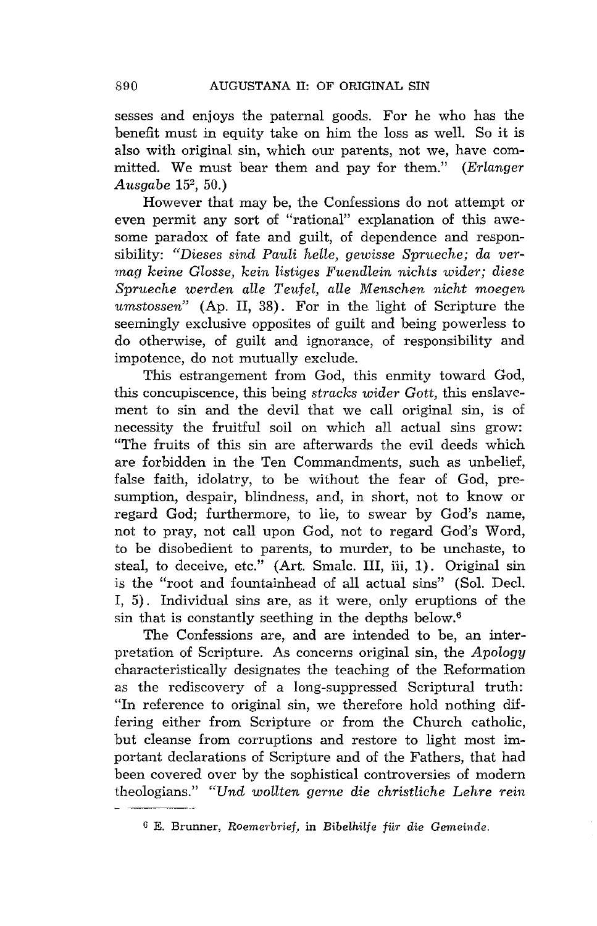sesses and enjoys the paternal goods. For he who has the benefit must in equity take on him the loss as well. So it is also with original sin, which our parents, not we, have committed. We must bear them and pay for them." *(Erlanger Ausgabe* 152, 50.)

However that may be, the Confessions do not attempt or even permit any sort of "rational" explanation of this awesome paradox of fate and guilt, of dependence and responsibility: *"Dieses sind Pauli helle, gewisse Sprueche; da vermag keine Glosse, kein listiges Fuendlein nichts wider; diese Sprueche werden aIle Teufel, alle Menschen nicht moegen umstossen"* (Ap. II, 38). For in the light of Scripture the seemingly exclusive opposites of guilt and being powerless to do otherwise, of guilt and ignorance, of responsibility and impotence, do not mutually exclude.

This estrangement from God, this enmity toward God, this concupiscence, this being *stracks wider Gott,* this enslavement to sin and the devil that we call original sin, is of necessity the fruitful soil on which all actual sins grow: "The fruits of this sin are afterwards the evil deeds which are forbidden in the Ten Commandments, such as unbelief, false faith, idolatry, to be without the fear of God, presumption, despair, blindness, and, in short, not to know or regard God; furthermore, to lie, to swear by God's name, not to pray, not call upon God, not to regard God's Word, to be disobedient to parents, to murder, to be unchaste, to steal, to deceive, etc." (Art. Smalc. III, iii, 1). Original sin is the "root and fountainhead of all actual sins" (Sol. Decl. I, 5). Individual sins are, as it were, only eruptions of the sin that is constantly seething in the depths below.6

The Confessions are, and are intended to be, an interpretation of Scripture. As concerns original sin, the *Apology*  characteristically designates the teaching of the Reformation as the rediscovery of a long-suppressed Scriptural truth: "In reference to original sin, we therefore hold nothing differing either from Scripture or from the Church catholic, but cleanse from corruptions and restore to light most important declarations of Scripture and of the Fathers, that had been covered over by the sophistical controversies of modern theologians." *"Und wollten gerne die christliche Lehre rein* 

G E. Brunner, *Roemerbrief,* in *Bibelhilfe fiir die Gemeinde.*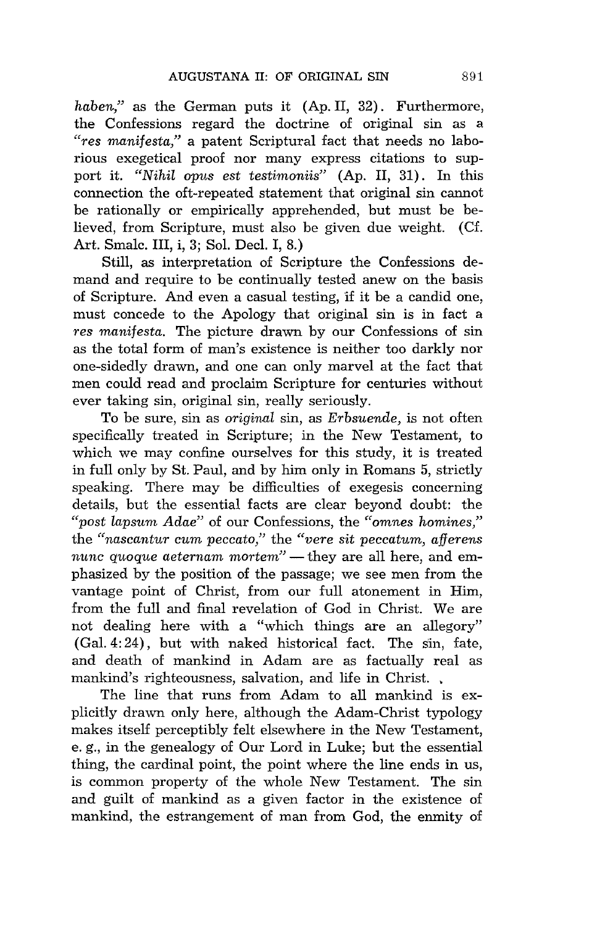*haben,"* as the German puts it (Ap. II, 32). Furthermore, the Confessions regard the doctrine of original sin as a *"res manifesta,"* a patent Scriptural fact that needs no laborious exegetical proof nor many express citations to support it. *"Nihil opus est testimoniis"* (Ap. II, 31). In this connection the oft-repeated statement that original sin cannot be rationally or empirically apprehended, but must be believed, from Scripture, must also be given due weight. (Cf. Art. Smalc. III, i, 3; Sol. Decl. I, 8.)

Still, as interpretation of Scripture the Confessions demand and require to be continually tested anew on the basis of Scripture. And even a casual testing, if it be a candid one, must concede to the Apology that original sin is in fact a *res manifesta.* The picture drawn by our Confessions of sin as the total form of man's existence is neither too darkly nor one-sidedly drawn, and one can only marvel at the fact that men could read and proclaim Scripture for centuries without ever taking sin, original sin, really seriously.

To be sure, sin as *original* sin, as *Erbsuende,* is not often specifically treated in Scripture; in the New Testament, to which we may confine ourselves for this study, it is treated in full only by St. Paul, and by him only in Romans 5, strictly speaking. There may be difficulties of exegesis concerning details, but the essential facts are clear beyond doubt: the *"post lap sum Adae"* of our Confessions, the *"omnes homines,"*  the "nascantur cum peccato," the "vere sit peccatum, afferens *nunc quoque aeternam mortem*" — they are all here, and emphasized by the position of the passage; we see men from the vantage point of Christ, from our full atonement in Him, from the full and final revelation of God in Christ. We are not dealing here with a "which things are an allegory" (Gal. 4: 24), but with naked historical fact. The sin, fate, and death of mankind in Adam are as factually real as mankind's righteousness, salvation, and life in Christ...

The line that runs from Adam to all mankind is explicitly drawn only here, although the Adam-Christ typology makes itself perceptibly felt elsewhere in the New Testament, e. g., in the genealogy of Our Lord in Luke; but the essential thing, the cardinal point, the point where the line ends in us, is common property of the whole New Testament. The sin and guilt of mankind as a given factor in the existence of mankind, the estrangement of man from God, the enmity of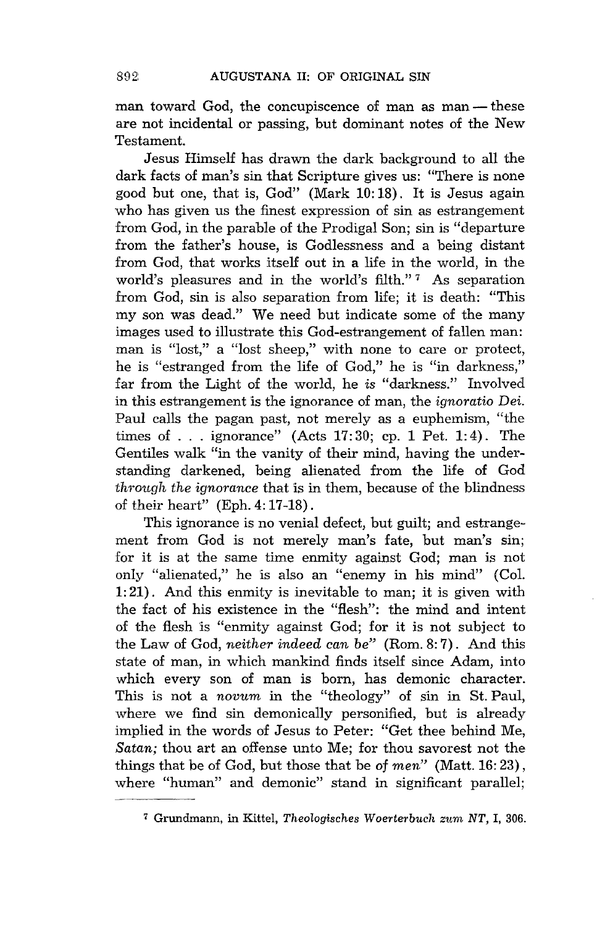man toward God, the concupiscence of man as man - these are not incidental or passing, but dominant notes of the New Testament.

Jesus Himself has drawn the dark background to all the dark facts of man's sin that Scripture gives us: "There *is* none good but one, that *is,* God" (Mark 10: 18). It *is* Jesus again who has given us the finest expression of sin as estrangement from God, in the parable of the Prodigal Son; sin *is* "departure from the father's house, is Godlessness and a being distant from God, that works itself out in a life in the world, in the world's pleasures and in the world's filth."<sup>7</sup> As separation from God, sin is also separation from life; it is death: "This my son was dead." We need but indicate some of the many images used to illustrate this God-estrangement of fallen man: man is "lost," a "lost sheep," with none to care or protect, he is "estranged from the life of God," he is "in darkness," far from the Light of the world, he *is* "darkness." Involved in this estrangement is the ignorance of man, the *ignoratio Dei.*  Paul calls the pagan past, not merely as a euphemism, "the times of ... ignorance" (Acts  $17:30$ ; cp. 1 Pet. 1:4). The Gentiles walk "in the vanity of their mind, having the understanding darkened, being alienated from the life of God *through the ignorance* that is in them, because of the blindness of their heart" (Eph. 4: 17-18) .

This ignorance is no venial defect, but guilt; and estrangement from God is not merely man's fate, but man's sin; for it is at the same time enmity against God; man is not only "alienated," he is also an "enemy in his mind" (Col. 1: 21). And this enmity is inevitable to man; it is given with the fact of his existence in the "flesh": the mind and intent of the flesh is "enmity against God; for it is not subject to the Law of God, *neither indeed can be"* (Rom. 8: 7). And this state of man, in which mankind finds itself since Adam, into which every son of man *is* born, has demonic character. This is not a *novum* in the "theology" of sin *in* St. Paul, where we find sin demonically personified, but is already implied in the words of Jesus to Peter: "Get thee behind Me, *Satan;* thou art an offense unto Me; for thou savorest not the things that be of God, but those that be of *men"* (Matt. 16: 23), where "human" and demonic" stand in significant parallel;

<sup>&</sup>lt;sup>7</sup> Grundmann, in Kittel, *Theologisches Woerterbuch zum NT*, I, 306.